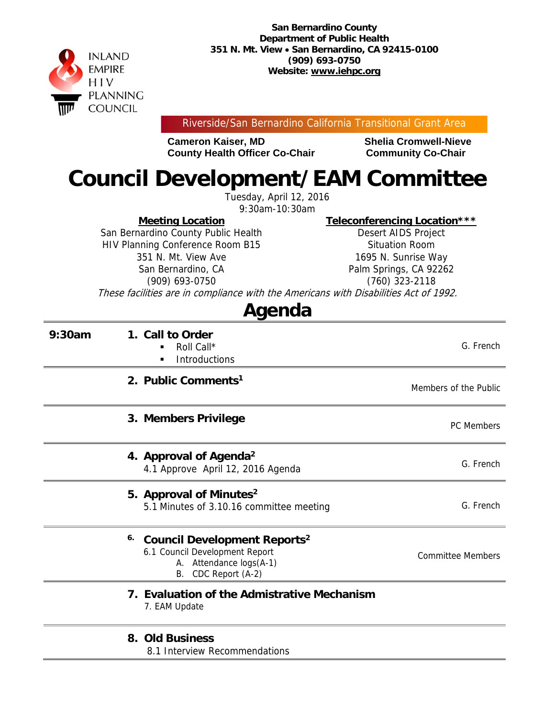

Riverside/San Bernardino California Transitional Grant Area

**Cameron Kaiser, MD Shelia Cromwell-Nieve County Health Officer Co-Chair Community Co-Chair** 

# **Council Development/EAM Committee**

Tuesday, April 12, 2016 9:30am-10:30am

**Meeting Location** 

San Bernardino County Public Health HIV Planning Conference Room B15 351 N. Mt. View Ave San Bernardino, CA (909) 693-0750

**Teleconferencing Location\*\*\*** 

Desert AIDS Project Situation Room 1695 N. Sunrise Way Palm Springs, CA 92262 (760) 323-2118

These facilities are in compliance with the Americans with Disabilities Act of 1992.

## **Agenda**

| 9:30am | 1. Call to Order<br>Roll Call*<br><b>Introductions</b><br>٠                                                                                 | G. French                |
|--------|---------------------------------------------------------------------------------------------------------------------------------------------|--------------------------|
|        | 2. Public Comments <sup>1</sup>                                                                                                             | Members of the Public    |
|        | 3. Members Privilege                                                                                                                        | <b>PC Members</b>        |
|        | 4. Approval of Agenda <sup>2</sup><br>4.1 Approve April 12, 2016 Agenda                                                                     | G. French                |
|        | 5. Approval of Minutes <sup>2</sup><br>5.1 Minutes of 3.10.16 committee meeting                                                             | G. French                |
|        | 6.<br><b>Council Development Reports<sup>2</sup></b><br>6.1 Council Development Report<br>A. Attendance logs(A-1)<br>CDC Report (A-2)<br>В. | <b>Committee Members</b> |
|        | 7. Evaluation of the Admistrative Mechanism<br>7. EAM Update                                                                                |                          |
|        | 8. Old Business<br>8.1 Interview Recommendations                                                                                            |                          |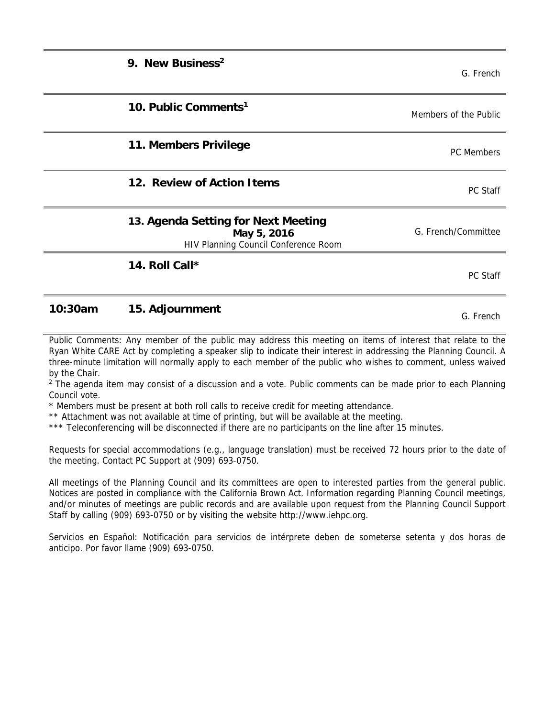| 9. New Business <sup>2</sup>                                                               | G. French             |
|--------------------------------------------------------------------------------------------|-----------------------|
| 10. Public Comments <sup>1</sup>                                                           | Members of the Public |
| 11. Members Privilege                                                                      | <b>PC</b> Members     |
| 12. Review of Action Items                                                                 | <b>PC Staff</b>       |
| 13. Agenda Setting for Next Meeting<br>May 5, 2016<br>HIV Planning Council Conference Room | G. French/Committee   |
| 14. Roll Call*                                                                             | PC Staff              |

### **10:30am 15. Adjournment** G. French

Public Comments: Any member of the public may address this meeting on items of interest that relate to the Ryan White CARE Act by completing a speaker slip to indicate their interest in addressing the Planning Council. A three-minute limitation will normally apply to each member of the public who wishes to comment, unless waived by the Chair.

<sup>2</sup> The agenda item may consist of a discussion and a vote. Public comments can be made prior to each Planning Council vote.

\* Members must be present at both roll calls to receive credit for meeting attendance.

\*\* Attachment was not available at time of printing, but will be available at the meeting.

\*\*\* Teleconferencing will be disconnected if there are no participants on the line after 15 minutes.

Requests for special accommodations (e.g., language translation) must be received 72 hours prior to the date of the meeting. Contact PC Support at (909) 693-0750.

All meetings of the Planning Council and its committees are open to interested parties from the general public. Notices are posted in compliance with the California Brown Act. Information regarding Planning Council meetings, and/or minutes of meetings are public records and are available upon request from the Planning Council Support Staff by calling (909) 693-0750 or by visiting the website http://www.iehpc.org.

Servicios en Español: Notificación para servicios de intérprete deben de someterse setenta y dos horas de anticipo. Por favor llame (909) 693-0750.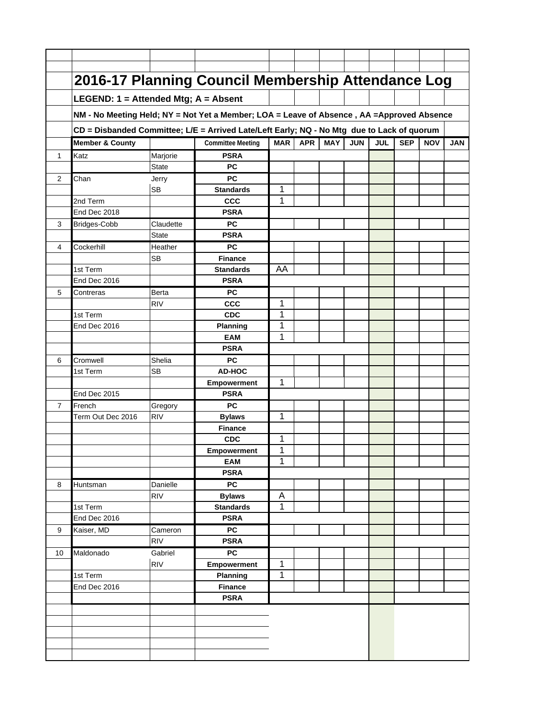|    | 2016-17 Planning Council Membership Attendance Log                                          |              |                                   |                |            |            |            |            |            |            |            |
|----|---------------------------------------------------------------------------------------------|--------------|-----------------------------------|----------------|------------|------------|------------|------------|------------|------------|------------|
|    | LEGEND: 1 = Attended Mtg; A = Absent                                                        |              |                                   |                |            |            |            |            |            |            |            |
|    | NM - No Meeting Held; NY = Not Yet a Member; LOA = Leave of Absence , AA = Approved Absence |              |                                   |                |            |            |            |            |            |            |            |
|    |                                                                                             |              |                                   |                |            |            |            |            |            |            |            |
|    | CD = Disbanded Committee; L/E = Arrived Late/Left Early; NQ - No Mtg due to Lack of quorum  |              |                                   |                |            |            |            |            |            |            |            |
|    | <b>Member &amp; County</b>                                                                  |              | <b>Committee Meeting</b>          | <b>MAR</b>     | <b>APR</b> | <b>MAY</b> | <b>JUN</b> | <b>JUL</b> | <b>SEP</b> | <b>NOV</b> | <b>JAN</b> |
| 1  | Katz                                                                                        | Marjorie     | <b>PSRA</b>                       |                |            |            |            |            |            |            |            |
|    |                                                                                             | <b>State</b> | <b>PC</b>                         |                |            |            |            |            |            |            |            |
| 2  | Chan                                                                                        | Jerry        | <b>PC</b>                         |                |            |            |            |            |            |            |            |
|    | 2nd Term                                                                                    | <b>SB</b>    | <b>Standards</b><br><b>CCC</b>    | 1<br>1         |            |            |            |            |            |            |            |
|    | End Dec 2018                                                                                |              | <b>PSRA</b>                       |                |            |            |            |            |            |            |            |
| 3  | Bridges-Cobb                                                                                | Claudette    | <b>PC</b>                         |                |            |            |            |            |            |            |            |
|    |                                                                                             | <b>State</b> | <b>PSRA</b>                       |                |            |            |            |            |            |            |            |
| 4  | Cockerhill                                                                                  | Heather      | <b>PC</b>                         |                |            |            |            |            |            |            |            |
|    |                                                                                             | <b>SB</b>    | <b>Finance</b>                    |                |            |            |            |            |            |            |            |
|    | 1st Term                                                                                    |              | <b>Standards</b>                  | AA             |            |            |            |            |            |            |            |
|    | End Dec 2016                                                                                |              | <b>PSRA</b>                       |                |            |            |            |            |            |            |            |
| 5  | Contreras                                                                                   | Berta        | <b>PC</b>                         |                |            |            |            |            |            |            |            |
|    |                                                                                             | <b>RIV</b>   | <b>CCC</b>                        | 1              |            |            |            |            |            |            |            |
|    | 1st Term                                                                                    |              | <b>CDC</b>                        | 1              |            |            |            |            |            |            |            |
|    | End Dec 2016                                                                                |              | <b>Planning</b>                   | 1              |            |            |            |            |            |            |            |
|    |                                                                                             |              | <b>EAM</b>                        | 1              |            |            |            |            |            |            |            |
|    |                                                                                             |              | <b>PSRA</b>                       |                |            |            |            |            |            |            |            |
| 6  | Cromwell                                                                                    | Shelia       | <b>PC</b>                         |                |            |            |            |            |            |            |            |
|    | 1st Term                                                                                    | <b>SB</b>    | AD-HOC                            |                |            |            |            |            |            |            |            |
|    |                                                                                             |              | <b>Empowerment</b>                | $\mathbf 1$    |            |            |            |            |            |            |            |
|    | End Dec 2015                                                                                |              | <b>PSRA</b>                       |                |            |            |            |            |            |            |            |
| 7  | French                                                                                      | Gregory      | <b>PC</b>                         |                |            |            |            |            |            |            |            |
|    | Term Out Dec 2016                                                                           | <b>RIV</b>   | <b>Bylaws</b>                     | 1              |            |            |            |            |            |            |            |
|    |                                                                                             |              | <b>Finance</b>                    |                |            |            |            |            |            |            |            |
|    |                                                                                             |              | <b>CDC</b>                        | 1              |            |            |            |            |            |            |            |
|    |                                                                                             |              | <b>Empowerment</b>                | 1              |            |            |            |            |            |            |            |
|    |                                                                                             |              | EAM                               | 1              |            |            |            |            |            |            |            |
|    |                                                                                             |              | <b>PSRA</b>                       |                |            |            |            |            |            |            |            |
| 8  | Huntsman                                                                                    | Danielle     | <b>PC</b>                         | A              |            |            |            |            |            |            |            |
|    | 1st Term                                                                                    | <b>RIV</b>   | <b>Bylaws</b><br><b>Standards</b> | 1              |            |            |            |            |            |            |            |
|    | End Dec 2016                                                                                |              | <b>PSRA</b>                       |                |            |            |            |            |            |            |            |
| 9  | Kaiser, MD                                                                                  | Cameron      | <b>PC</b>                         |                |            |            |            |            |            |            |            |
|    |                                                                                             | <b>RIV</b>   | <b>PSRA</b>                       |                |            |            |            |            |            |            |            |
| 10 | Maldonado                                                                                   | Gabriel      | <b>PC</b>                         |                |            |            |            |            |            |            |            |
|    |                                                                                             | <b>RIV</b>   | Empowerment                       | $\overline{1}$ |            |            |            |            |            |            |            |
|    | 1st Term                                                                                    |              | Planning                          | $\overline{1}$ |            |            |            |            |            |            |            |
|    | End Dec 2016                                                                                |              | <b>Finance</b>                    |                |            |            |            |            |            |            |            |
|    |                                                                                             |              | <b>PSRA</b>                       |                |            |            |            |            |            |            |            |
|    |                                                                                             |              |                                   |                |            |            |            |            |            |            |            |
|    |                                                                                             |              |                                   |                |            |            |            |            |            |            |            |
|    |                                                                                             |              |                                   |                |            |            |            |            |            |            |            |
|    |                                                                                             |              |                                   |                |            |            |            |            |            |            |            |
|    |                                                                                             |              |                                   |                |            |            |            |            |            |            |            |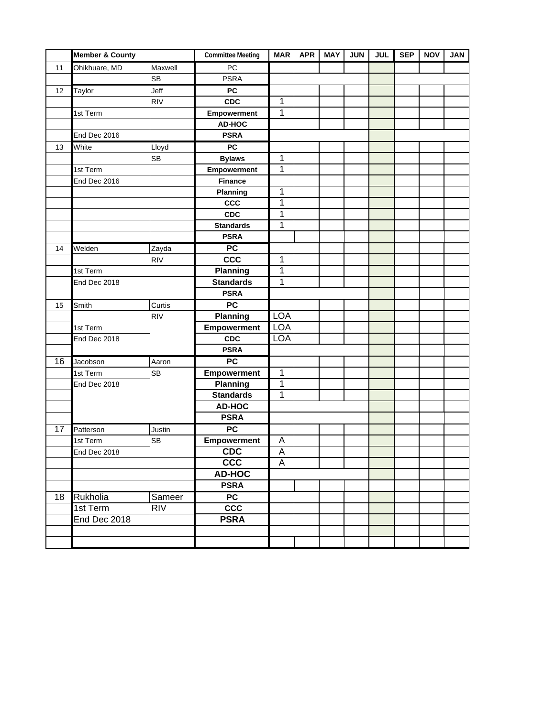|    | <b>Member &amp; County</b> |            | <b>Committee Meeting</b> | <b>MAR</b>   | <b>APR</b> | <b>MAY</b> | <b>JUN</b> | <b>JUL</b> | <b>SEP</b> | <b>NOV</b> | <b>JAN</b> |
|----|----------------------------|------------|--------------------------|--------------|------------|------------|------------|------------|------------|------------|------------|
| 11 | Ohikhuare, MD              | Maxwell    | PC                       |              |            |            |            |            |            |            |            |
|    |                            | <b>SB</b>  | <b>PSRA</b>              |              |            |            |            |            |            |            |            |
| 12 | Taylor                     | Jeff       | <b>PC</b>                |              |            |            |            |            |            |            |            |
|    |                            | <b>RIV</b> | CDC                      | 1            |            |            |            |            |            |            |            |
|    | 1st Term                   |            | Empowerment              | $\mathbf 1$  |            |            |            |            |            |            |            |
|    |                            |            | AD-HOC                   |              |            |            |            |            |            |            |            |
|    | End Dec 2016               |            | <b>PSRA</b>              |              |            |            |            |            |            |            |            |
| 13 | White                      | Lloyd      | <b>PC</b>                |              |            |            |            |            |            |            |            |
|    |                            | <b>SB</b>  | <b>Bylaws</b>            | 1            |            |            |            |            |            |            |            |
|    | 1st Term                   |            | Empowerment              | 1            |            |            |            |            |            |            |            |
|    | End Dec 2016               |            | <b>Finance</b>           |              |            |            |            |            |            |            |            |
|    |                            |            | Planning                 | 1            |            |            |            |            |            |            |            |
|    |                            |            | <b>CCC</b>               | 1            |            |            |            |            |            |            |            |
|    |                            |            | CDC                      | 1            |            |            |            |            |            |            |            |
|    |                            |            | <b>Standards</b>         | 1            |            |            |            |            |            |            |            |
|    |                            |            | <b>PSRA</b>              |              |            |            |            |            |            |            |            |
| 14 | Welden                     | Zayda      | $\overline{PC}$          |              |            |            |            |            |            |            |            |
|    |                            | <b>RIV</b> | ccc                      | 1            |            |            |            |            |            |            |            |
|    | 1st Term                   |            | Planning                 | 1            |            |            |            |            |            |            |            |
|    | End Dec 2018               |            | <b>Standards</b>         | 1            |            |            |            |            |            |            |            |
|    |                            |            | <b>PSRA</b>              |              |            |            |            |            |            |            |            |
| 15 | Smith                      | Curtis     | PC                       |              |            |            |            |            |            |            |            |
|    |                            | <b>RIV</b> | Planning                 | <b>LOA</b>   |            |            |            |            |            |            |            |
|    | 1st Term                   |            | Empowerment              | <b>LOA</b>   |            |            |            |            |            |            |            |
|    | End Dec 2018               |            | <b>CDC</b>               | <b>LOA</b>   |            |            |            |            |            |            |            |
|    |                            |            | <b>PSRA</b>              |              |            |            |            |            |            |            |            |
| 16 | Jacobson                   | Aaron      | PC                       |              |            |            |            |            |            |            |            |
|    | 1st Term                   | <b>SB</b>  | Empowerment              | 1            |            |            |            |            |            |            |            |
|    | End Dec 2018               |            | <b>Planning</b>          | 1            |            |            |            |            |            |            |            |
|    |                            |            | <b>Standards</b>         | $\mathbf{1}$ |            |            |            |            |            |            |            |
|    |                            |            | <b>AD-HOC</b>            |              |            |            |            |            |            |            |            |
|    |                            |            | <b>PSRA</b>              |              |            |            |            |            |            |            |            |
| 17 | Patterson                  | Justin     | $\overline{PC}$          |              |            |            |            |            |            |            |            |
|    | 1st Term                   | <b>SB</b>  | <b>Empowerment</b>       | Α            |            |            |            |            |            |            |            |
|    | End Dec 2018               |            | <b>CDC</b>               | A            |            |            |            |            |            |            |            |
|    |                            |            | ccc                      | A            |            |            |            |            |            |            |            |
|    |                            |            | AD-HOC                   |              |            |            |            |            |            |            |            |
|    |                            |            | <b>PSRA</b>              |              |            |            |            |            |            |            |            |
| 18 | Rukholia                   | Sameer     | PC                       |              |            |            |            |            |            |            |            |
|    | 1st Term                   | <b>RIV</b> | ccc                      |              |            |            |            |            |            |            |            |
|    | End Dec 2018               |            | <b>PSRA</b>              |              |            |            |            |            |            |            |            |
|    |                            |            |                          |              |            |            |            |            |            |            |            |
|    |                            |            |                          |              |            |            |            |            |            |            |            |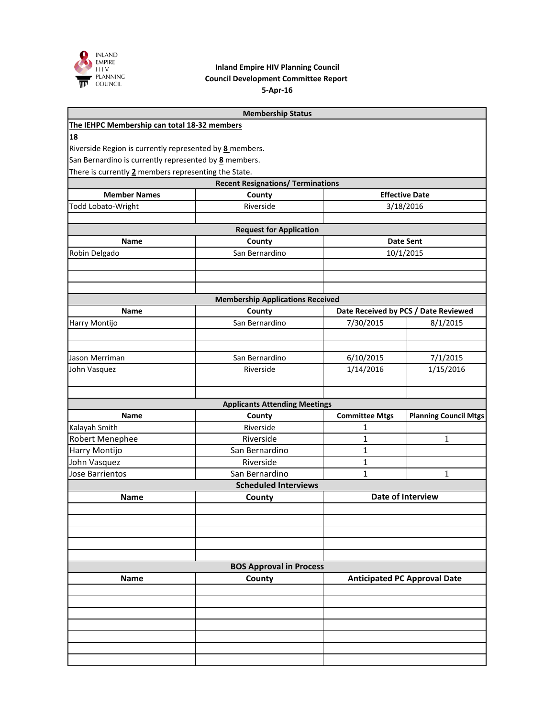

#### **5-Apr-16 Council Development Committee Report Inland Empire HIV Planning Council**

|                                                         | <b>Membership Status</b>                       |                       |                                      |
|---------------------------------------------------------|------------------------------------------------|-----------------------|--------------------------------------|
| The IEHPC Membership can total 18-32 members            |                                                |                       |                                      |
| 18                                                      |                                                |                       |                                      |
| Riverside Region is currently represented by 8 members. |                                                |                       |                                      |
| San Bernardino is currently represented by 8 members.   |                                                |                       |                                      |
| There is currently 2 members representing the State.    |                                                |                       |                                      |
|                                                         | <b>Recent Resignations/ Terminations</b>       |                       |                                      |
| <b>Member Names</b>                                     | County                                         |                       | <b>Effective Date</b>                |
| <b>Todd Lobato-Wright</b>                               | Riverside                                      |                       | 3/18/2016                            |
|                                                         |                                                |                       |                                      |
| Name                                                    | <b>Request for Application</b><br>County       |                       | <b>Date Sent</b>                     |
| Robin Delgado                                           | San Bernardino                                 |                       | 10/1/2015                            |
|                                                         |                                                |                       |                                      |
|                                                         |                                                |                       |                                      |
|                                                         |                                                |                       |                                      |
|                                                         | <b>Membership Applications Received</b>        |                       |                                      |
| Name                                                    | County                                         |                       | Date Received by PCS / Date Reviewed |
| Harry Montijo                                           | San Bernardino                                 | 7/30/2015             | 8/1/2015                             |
|                                                         |                                                |                       |                                      |
|                                                         |                                                |                       |                                      |
| Jason Merriman                                          | San Bernardino                                 | 6/10/2015             | 7/1/2015                             |
| John Vasquez                                            | Riverside                                      | 1/14/2016             | 1/15/2016                            |
|                                                         |                                                |                       |                                      |
|                                                         |                                                |                       |                                      |
| <b>Name</b>                                             | <b>Applicants Attending Meetings</b><br>County | <b>Committee Mtgs</b> | <b>Planning Council Mtgs</b>         |
| Kalayah Smith                                           | Riverside                                      | 1                     |                                      |
| Robert Menephee                                         | Riverside                                      | 1                     | 1                                    |
| Harry Montijo                                           | San Bernardino                                 | 1                     |                                      |
| John Vasquez                                            | Riverside                                      | 1                     |                                      |
| Jose Barrientos                                         | San Bernardino                                 | $\mathbf{1}$          | 1                                    |
|                                                         | <b>Scheduled Interviews</b>                    |                       |                                      |
| <b>Name</b>                                             | County                                         |                       | Date of Interview                    |
|                                                         |                                                |                       |                                      |
|                                                         |                                                |                       |                                      |
|                                                         |                                                |                       |                                      |
|                                                         |                                                |                       |                                      |
|                                                         |                                                |                       |                                      |
|                                                         | <b>BOS Approval in Process</b>                 |                       |                                      |
| <b>Name</b>                                             | County                                         |                       | <b>Anticipated PC Approval Date</b>  |
|                                                         |                                                |                       |                                      |
|                                                         |                                                |                       |                                      |
|                                                         |                                                |                       |                                      |
|                                                         |                                                |                       |                                      |
|                                                         |                                                |                       |                                      |
|                                                         |                                                |                       |                                      |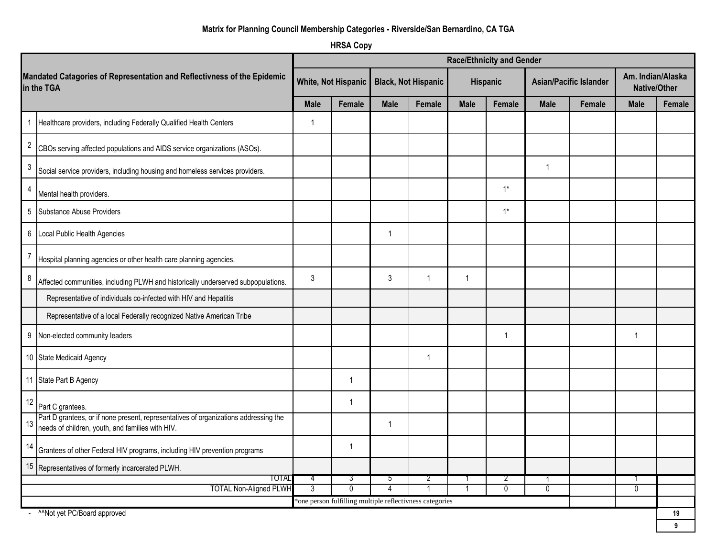#### **Matrix for Planning Council Membership Categories - Riverside/San Bernardino, CA TGA**

**HRSA Copy**

|                                                                                                                                          |             |                     |                |                                                          |             | <b>Race/Ethnicity and Gender</b> |                               |        |                                          |        |
|------------------------------------------------------------------------------------------------------------------------------------------|-------------|---------------------|----------------|----------------------------------------------------------|-------------|----------------------------------|-------------------------------|--------|------------------------------------------|--------|
| Mandated Catagories of Representation and Reflectivness of the Epidemic<br>in the TGA                                                    |             | White, Not Hispanic |                | <b>Black, Not Hispanic</b>                               |             | Hispanic                         | <b>Asian/Pacific Islander</b> |        | Am. Indian/Alaska<br><b>Native/Other</b> |        |
|                                                                                                                                          | <b>Male</b> | Female              | <b>Male</b>    | Female                                                   | <b>Male</b> | Female                           | <b>Male</b>                   | Female | <b>Male</b>                              | Female |
| Healthcare providers, including Federally Qualified Health Centers                                                                       | 1           |                     |                |                                                          |             |                                  |                               |        |                                          |        |
| $\sqrt{2}$<br>CBOs serving affected populations and AIDS service organizations (ASOs).                                                   |             |                     |                |                                                          |             |                                  |                               |        |                                          |        |
| 3<br>Social service providers, including housing and homeless services providers.                                                        |             |                     |                |                                                          |             |                                  | $\mathbf{1}$                  |        |                                          |        |
| 4<br>Mental health providers.                                                                                                            |             |                     |                |                                                          |             | $1^*$                            |                               |        |                                          |        |
| $\,$ 5 $\,$<br>Substance Abuse Providers                                                                                                 |             |                     |                |                                                          |             | $1^*$                            |                               |        |                                          |        |
| 6 Local Public Health Agencies                                                                                                           |             |                     | $\mathbf{1}$   |                                                          |             |                                  |                               |        |                                          |        |
| Hospital planning agencies or other health care planning agencies.                                                                       |             |                     |                |                                                          |             |                                  |                               |        |                                          |        |
| 8<br>Affected communities, including PLWH and historically underserved subpopulations.                                                   | 3           |                     | 3              | $\overline{1}$                                           | $\mathbf 1$ |                                  |                               |        |                                          |        |
| Representative of individuals co-infected with HIV and Hepatitis                                                                         |             |                     |                |                                                          |             |                                  |                               |        |                                          |        |
| Representative of a local Federally recognized Native American Tribe                                                                     |             |                     |                |                                                          |             |                                  |                               |        |                                          |        |
| $\boldsymbol{9}$<br>Non-elected community leaders                                                                                        |             |                     |                |                                                          |             | 1                                |                               |        | 1                                        |        |
| 10 State Medicaid Agency                                                                                                                 |             |                     |                | $\mathbf{1}$                                             |             |                                  |                               |        |                                          |        |
| 11 State Part B Agency                                                                                                                   |             | $\mathbf 1$         |                |                                                          |             |                                  |                               |        |                                          |        |
| 12<br>Part C grantees.                                                                                                                   |             | $\overline{1}$      |                |                                                          |             |                                  |                               |        |                                          |        |
| Part D grantees, or if none present, representatives of organizations addressing the<br>needs of children, youth, and families with HIV. |             |                     | $\mathbf{1}$   |                                                          |             |                                  |                               |        |                                          |        |
| 14<br>Grantees of other Federal HIV programs, including HIV prevention programs                                                          |             | $\overline{1}$      |                |                                                          |             |                                  |                               |        |                                          |        |
| 15 Representatives of formerly incarcerated PLWH.                                                                                        |             |                     |                |                                                          |             |                                  |                               |        |                                          |        |
| TOTAL                                                                                                                                    | 4           | 3                   | $\mathbf{p}$   | 2                                                        |             | 2                                | -1                            |        |                                          |        |
| <b>TOTAL Non-Aligned PLWH</b>                                                                                                            | 3           | $\mathbf{0}$        | $\overline{4}$ | *one person fulfilling multiple reflectivness categories |             | $\mathbf{0}$                     | $\mathbf 0$                   |        | $\mathbf{0}$                             |        |
| <sup>^^</sup> Not yet PC/Board approved                                                                                                  |             |                     |                |                                                          |             |                                  |                               |        |                                          | 19     |

**9**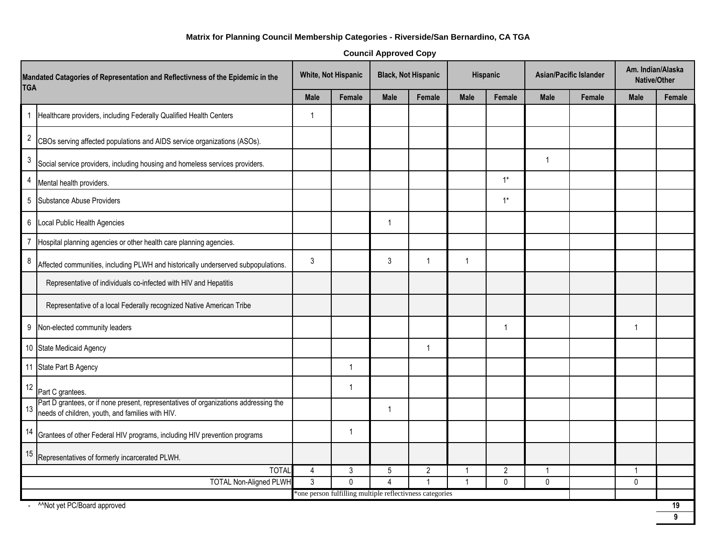#### **Matrix for Planning Council Membership Categories - Riverside/San Bernardino, CA TGA**

| <b>Council Approved Copy</b> |  |  |
|------------------------------|--|--|
|                              |  |  |

| Mandated Catagories of Representation and Reflectivness of the Epidemic in the<br><b>TGA</b>                                                   |                | White, Not Hispanic                                      |                | <b>Black, Not Hispanic</b> |                | Hispanic       |             | <b>Asian/Pacific Islander</b> |              | Am. Indian/Alaska<br>Native/Other |  |
|------------------------------------------------------------------------------------------------------------------------------------------------|----------------|----------------------------------------------------------|----------------|----------------------------|----------------|----------------|-------------|-------------------------------|--------------|-----------------------------------|--|
|                                                                                                                                                |                | Female                                                   | <b>Male</b>    | Female                     | <b>Male</b>    | Female         | <b>Male</b> | Female                        | <b>Male</b>  | Female                            |  |
| Healthcare providers, including Federally Qualified Health Centers<br>$\mathbf{1}$                                                             | $\overline{1}$ |                                                          |                |                            |                |                |             |                               |              |                                   |  |
| $\overline{c}$<br>CBOs serving affected populations and AIDS service organizations (ASOs).                                                     |                |                                                          |                |                            |                |                |             |                               |              |                                   |  |
| 3<br>Social service providers, including housing and homeless services providers.                                                              |                |                                                          |                |                            |                |                | -1          |                               |              |                                   |  |
| 4<br>Mental health providers.                                                                                                                  |                |                                                          |                |                            |                | $1*$           |             |                               |              |                                   |  |
| 5<br>Substance Abuse Providers                                                                                                                 |                |                                                          |                |                            |                | $1^*$          |             |                               |              |                                   |  |
| 6<br>Local Public Health Agencies                                                                                                              |                |                                                          | 1              |                            |                |                |             |                               |              |                                   |  |
| 7<br>Hospital planning agencies or other health care planning agencies.                                                                        |                |                                                          |                |                            |                |                |             |                               |              |                                   |  |
| 8<br>Affected communities, including PLWH and historically underserved subpopulations.                                                         | 3              |                                                          | 3              | $\overline{1}$             | $\overline{1}$ |                |             |                               |              |                                   |  |
| Representative of individuals co-infected with HIV and Hepatitis                                                                               |                |                                                          |                |                            |                |                |             |                               |              |                                   |  |
| Representative of a local Federally recognized Native American Tribe                                                                           |                |                                                          |                |                            |                |                |             |                               |              |                                   |  |
| 9<br>Non-elected community leaders                                                                                                             |                |                                                          |                |                            |                |                |             |                               | $\mathbf 1$  |                                   |  |
| 10 State Medicaid Agency                                                                                                                       |                |                                                          |                | $\overline{1}$             |                |                |             |                               |              |                                   |  |
| 11 State Part B Agency                                                                                                                         |                | 1                                                        |                |                            |                |                |             |                               |              |                                   |  |
| 12<br>Part C grantees.                                                                                                                         |                | 1                                                        |                |                            |                |                |             |                               |              |                                   |  |
| Part D grantees, or if none present, representatives of organizations addressing the<br>13<br>needs of children, youth, and families with HIV. |                |                                                          | $\mathbf{1}$   |                            |                |                |             |                               |              |                                   |  |
| 14<br>Grantees of other Federal HIV programs, including HIV prevention programs                                                                |                | $\mathbf{1}$                                             |                |                            |                |                |             |                               |              |                                   |  |
| 15<br>Representatives of formerly incarcerated PLWH.                                                                                           |                |                                                          |                |                            |                |                |             |                               |              |                                   |  |
| <b>TOTAL</b>                                                                                                                                   | $\overline{4}$ | 3                                                        | 5              | $\overline{2}$             |                | $\overline{2}$ | $\mathbf 1$ |                               | $\mathbf{1}$ |                                   |  |
| <b>TOTAL Non-Aligned PLWH</b>                                                                                                                  | $\overline{3}$ | $\mathbf 0$                                              | $\overline{4}$ | $\overline{1}$             | $\overline{1}$ | $\mathbf 0$    | $\pmb{0}$   |                               | $\mathbf 0$  |                                   |  |
| ^^Not yet PC/Board approved                                                                                                                    |                | *one person fulfilling multiple reflectivness categories |                |                            |                |                |             |                               |              | 19                                |  |

**9**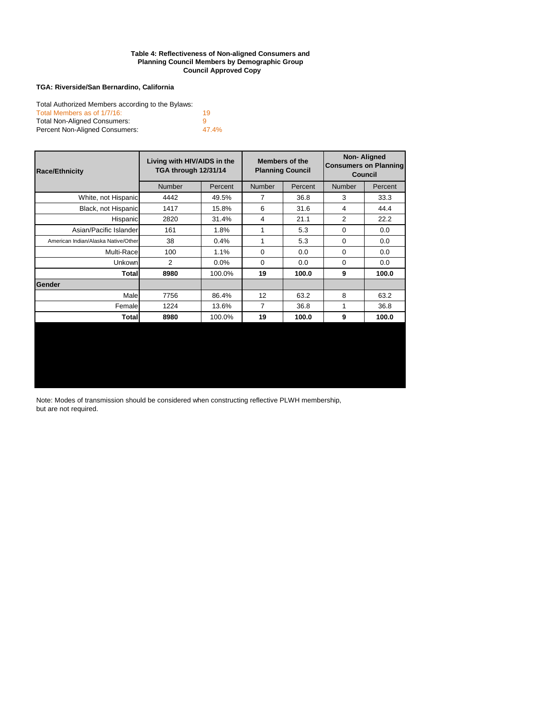#### **Council Approved Copy Table 4: Reflectiveness of Non-aligned Consumers and Planning Council Members by Demographic Group**

#### **TGA: Riverside/San Bernardino, California**

| Total Authorized Members according to the Bylaws: |       |
|---------------------------------------------------|-------|
| Total Members as of 1/7/16:                       | 19    |
| <b>Total Non-Aligned Consumers:</b>               | a     |
| Percent Non-Aligned Consumers:                    | 47.4% |

| <b>Race/Ethnicity</b>               | Living with HIV/AIDS in the<br>TGA through 12/31/14 |         |               | <b>Members of the</b><br><b>Planning Council</b> | <b>Non-Aligned</b><br><b>Consumers on Planning</b><br><b>Council</b> |         |  |
|-------------------------------------|-----------------------------------------------------|---------|---------------|--------------------------------------------------|----------------------------------------------------------------------|---------|--|
|                                     | <b>Number</b>                                       | Percent | <b>Number</b> | Percent                                          | <b>Number</b>                                                        | Percent |  |
| White, not Hispanic                 | 4442                                                | 49.5%   | 7             | 36.8                                             | 3                                                                    | 33.3    |  |
| Black, not Hispanic                 | 1417                                                | 15.8%   | 6             | 31.6                                             | 4                                                                    | 44.4    |  |
| Hispanic                            | 2820                                                | 31.4%   | 4             | 21.1                                             | 2                                                                    | 22.2    |  |
| Asian/Pacific Islander              | 161                                                 | 1.8%    |               | 5.3                                              | $\Omega$                                                             | 0.0     |  |
| American Indian/Alaska Native/Other | 38                                                  | 0.4%    |               | 5.3                                              | 0                                                                    | 0.0     |  |
| Multi-Race                          | 100                                                 | 1.1%    | $\Omega$      | 0.0                                              | $\Omega$                                                             | 0.0     |  |
| Unkown                              | $\overline{2}$                                      | $0.0\%$ | 0             | 0.0                                              | $\Omega$                                                             | 0.0     |  |
| Total                               | 8980                                                | 100.0%  | 19            | 100.0                                            | 9                                                                    | 100.0   |  |
| <b>Gender</b>                       |                                                     |         |               |                                                  |                                                                      |         |  |
| Male                                | 7756                                                | 86.4%   | 12            | 63.2                                             | 8                                                                    | 63.2    |  |
| Female                              | 1224                                                | 13.6%   | 7             | 36.8                                             | 1                                                                    | 36.8    |  |
| Total                               | 8980                                                | 100.0%  | 19            | 100.0                                            | 9                                                                    | 100.0   |  |

Note: Modes of transmission should be considered when constructing reflective PLWH membership, but are not required.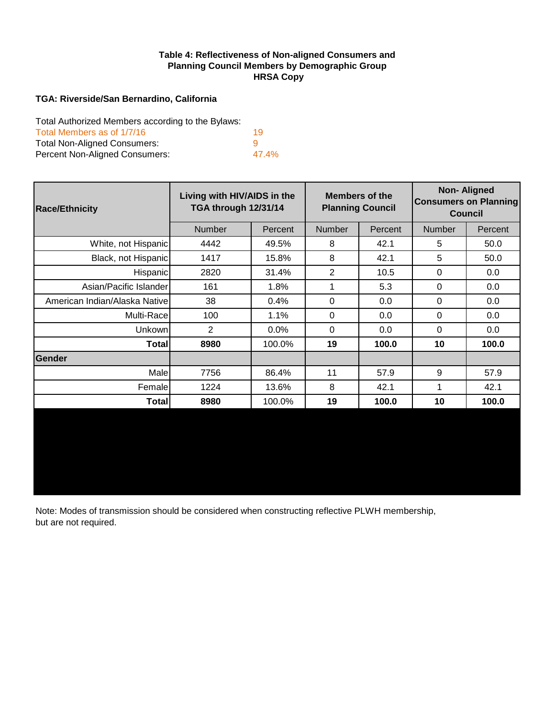#### **HRSA Copy Table 4: Reflectiveness of Non-aligned Consumers and Planning Council Members by Demographic Group**

#### **TGA: Riverside/San Bernardino, California**

Total Authorized Members according to the Bylaws:

| Total Members as of 1/7/16          | 19       |
|-------------------------------------|----------|
| <b>Total Non-Aligned Consumers:</b> | <b>Q</b> |
| Percent Non-Aligned Consumers:      | 47.4%    |

| <b>Race/Ethnicity</b>         | Living with HIV/AIDS in the<br>TGA through 12/31/14 |         |               | <b>Members of the</b><br><b>Planning Council</b> | <b>Non-Aligned</b><br><b>Consumers on Planning</b><br><b>Council</b> |         |  |
|-------------------------------|-----------------------------------------------------|---------|---------------|--------------------------------------------------|----------------------------------------------------------------------|---------|--|
|                               | <b>Number</b>                                       | Percent | <b>Number</b> | Percent                                          | <b>Number</b>                                                        | Percent |  |
| White, not Hispanic           | 4442                                                | 49.5%   | 8             | 42.1                                             | 5                                                                    | 50.0    |  |
| Black, not Hispanic           | 1417                                                | 15.8%   | 8             | 42.1                                             | 5                                                                    | 50.0    |  |
| <b>Hispanic</b>               | 2820                                                | 31.4%   | 2             | 10.5                                             | 0                                                                    | 0.0     |  |
| Asian/Pacific Islander        | 161                                                 | 1.8%    | 1             | 5.3                                              | $\Omega$                                                             | 0.0     |  |
| American Indian/Alaska Native | 38                                                  | 0.4%    | $\mathbf 0$   | 0.0                                              | 0                                                                    | 0.0     |  |
| Multi-Race                    | 100                                                 | 1.1%    | $\Omega$      | 0.0                                              | $\Omega$                                                             | 0.0     |  |
| Unkown                        | $\overline{2}$                                      | 0.0%    | $\Omega$      | 0.0                                              | $\Omega$                                                             | 0.0     |  |
| Total                         | 8980                                                | 100.0%  | 19            | 100.0                                            | 10                                                                   | 100.0   |  |
| <b>Gender</b>                 |                                                     |         |               |                                                  |                                                                      |         |  |
| Male                          | 7756                                                | 86.4%   | 11            | 57.9                                             | 9                                                                    | 57.9    |  |
| Female                        | 1224                                                | 13.6%   | 8             | 42.1                                             | 1                                                                    | 42.1    |  |
| Total                         | 8980                                                | 100.0%  | 19            | 100.0                                            | 10                                                                   | 100.0   |  |
|                               |                                                     |         |               |                                                  |                                                                      |         |  |

Note: Modes of transmission should be considered when constructing reflective PLWH membership, but are not required.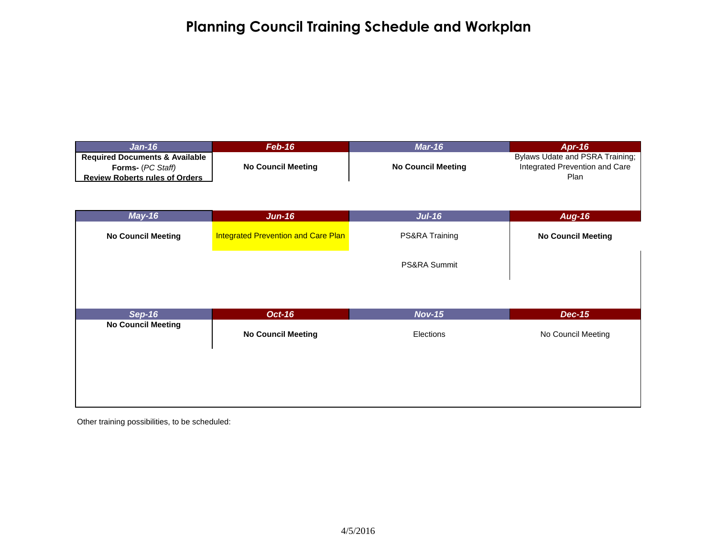## **Planning Council Training Schedule and Workplan**

| <b>Jan-16</b>                                                                                           | $Feb-16$                                   | <b>Mar-16</b>              | <b>Apr-16</b>                                                             |
|---------------------------------------------------------------------------------------------------------|--------------------------------------------|----------------------------|---------------------------------------------------------------------------|
| <b>Required Documents &amp; Available</b><br>Forms- (PC Staff)<br><b>Review Roberts rules of Orders</b> | <b>No Council Meeting</b>                  | <b>No Council Meeting</b>  | Bylaws Udate and PSRA Training;<br>Integrated Prevention and Care<br>Plan |
| $May-16$                                                                                                | $Jun-16$                                   | $Jul-16$                   | <b>Aug-16</b>                                                             |
| <b>No Council Meeting</b>                                                                               | <b>Integrated Prevention and Care Plan</b> | PS&RA Training             | <b>No Council Meeting</b>                                                 |
|                                                                                                         |                                            | PS&RA Summit               |                                                                           |
|                                                                                                         |                                            |                            |                                                                           |
| <b>Sep-16</b><br><b>No Council Meeting</b>                                                              | <b>Oct-16</b><br><b>No Council Meeting</b> | <b>Nov-15</b><br>Elections | <b>Dec-15</b><br>No Council Meeting                                       |
|                                                                                                         |                                            |                            |                                                                           |
|                                                                                                         |                                            |                            |                                                                           |

Other training possibilities, to be scheduled: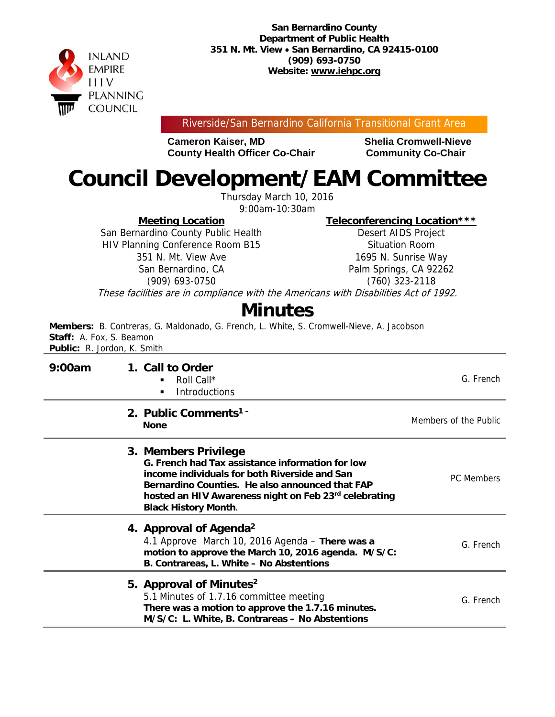

Riverside/San Bernardino California Transitional Grant Area

**Cameron Kaiser, MD Shelia Cromwell-Nieve County Health Officer Co-Chair Community Co-Chair** 

# **Council Development/EAM Committee**

Thursday March 10, 2016

9:00am-10:30am

**Meeting Location** 

San Bernardino County Public Health HIV Planning Conference Room B15 351 N. Mt. View Ave San Bernardino, CA (909) 693-0750

**Teleconferencing Location\*\*\*** 

Desert AIDS Project Situation Room 1695 N. Sunrise Way Palm Springs, CA 92262 (760) 323-2118

These facilities are in compliance with the Americans with Disabilities Act of 1992.

## **Minutes**

**Members:** B. Contreras, G. Maldonado, G. French, L. White, S. Cromwell-Nieve, A. Jacobson **Staff:** A. Fox, S. Beamon **Public:** R. Jordon, K. Smith

| 9:00am | 1. Call to Order<br>Roll Call*<br>٠<br><b>Introductions</b>                                                                                                                                                                                                          | G. French             |
|--------|----------------------------------------------------------------------------------------------------------------------------------------------------------------------------------------------------------------------------------------------------------------------|-----------------------|
|        | 2. Public Comments <sup>1-</sup><br><b>None</b>                                                                                                                                                                                                                      | Members of the Public |
|        | 3. Members Privilege<br>G. French had Tax assistance information for low<br>income individuals for both Riverside and San<br>Bernardino Counties. He also announced that FAP<br>hosted an HIV Awareness night on Feb 23rd celebrating<br><b>Black History Month.</b> | <b>PC</b> Members     |
|        | 4. Approval of Agenda <sup>2</sup><br>4.1 Approve March 10, 2016 Agenda - There was a<br>motion to approve the March 10, 2016 agenda. M/S/C:<br>B. Contrareas, L. White - No Abstentions                                                                             | G. French             |
|        | 5. Approval of Minutes <sup>2</sup><br>5.1 Minutes of 1.7.16 committee meeting<br>There was a motion to approve the 1.7.16 minutes.<br>M/S/C: L. White, B. Contrareas - No Abstentions                                                                               | G. French             |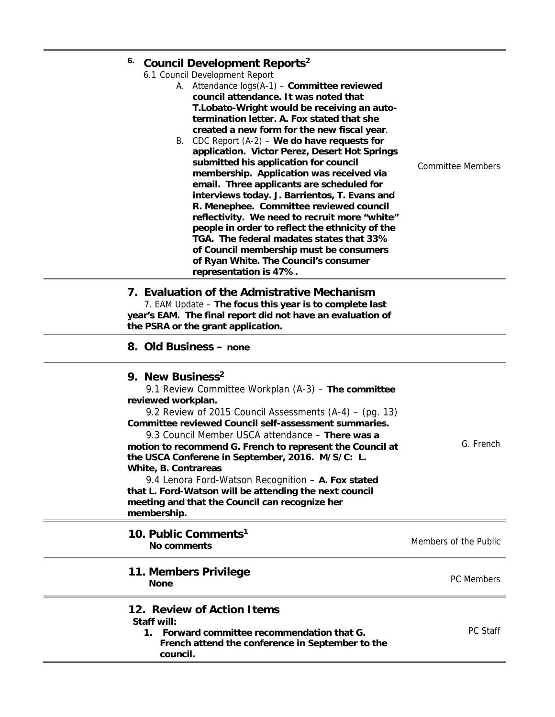|  | <sup>6.</sup> Council Development Reports <sup>2</sup><br>6.1 Council Development Report<br>A. Attendance $log(A-1)$ – Committee reviewed<br>council attendance. It was noted that<br>T. Lobato-Wright would be receiving an auto-<br>termination letter. A. Fox stated that she<br>created a new form for the new fiscal year. |                          |
|--|---------------------------------------------------------------------------------------------------------------------------------------------------------------------------------------------------------------------------------------------------------------------------------------------------------------------------------|--------------------------|
|  | B. CDC Report $(A-2)$ – We do have requests for<br>application. Victor Perez, Desert Hot Springs<br>submitted his application for council<br>membership. Application was received via<br>email. Three applicants are scheduled for<br>interviews today. J. Barrientos, T. Evans and                                             | <b>Committee Members</b> |

**R. Menephee. Committee reviewed council reflectivity. We need to recruit more "white" people in order to reflect the ethnicity of the TGA. The federal madates states that 33% of Council membership must be consumers of Ryan White. The Council's consumer** 

| 7. Evaluation of the Admistrative Mechanism                |
|------------------------------------------------------------|
| 7. EAM Update – The focus this year is to complete last    |
| year's EAM. The final report did not have an evaluation of |
| the PSRA or the grant application.                         |

**representation is 47%.** 

 $\equiv$ 

| 9. New Business <sup>2</sup><br>9.1 Review Committee Workplan $(A-3)$ – The committee<br>reviewed workplan.<br>9.2 Review of 2015 Council Assessments (A-4) – (pg. 13)<br>Committee reviewed Council self-assessment summaries.<br>9.3 Council Member USCA attendance - There was a<br>motion to recommend G. French to represent the Council at<br>the USCA Conferene in September, 2016. M/S/C: L.<br>White, B. Contrareas<br>9.4 Lenora Ford-Watson Recognition - A. Fox stated<br>that L. Ford-Watson will be attending the next council<br>meeting and that the Council can recognize her<br>membership. | G. French             |
|---------------------------------------------------------------------------------------------------------------------------------------------------------------------------------------------------------------------------------------------------------------------------------------------------------------------------------------------------------------------------------------------------------------------------------------------------------------------------------------------------------------------------------------------------------------------------------------------------------------|-----------------------|
| 10. Public Comments <sup>1</sup><br>No comments                                                                                                                                                                                                                                                                                                                                                                                                                                                                                                                                                               | Members of the Public |
| 11. Members Privilege<br><b>None</b>                                                                                                                                                                                                                                                                                                                                                                                                                                                                                                                                                                          | <b>PC</b> Members     |
| 12. Review of Action Items<br>Staff will:<br>1. Forward committee recommendation that G.<br>French attend the conference in September to the<br>council.                                                                                                                                                                                                                                                                                                                                                                                                                                                      | <b>PC Staff</b>       |